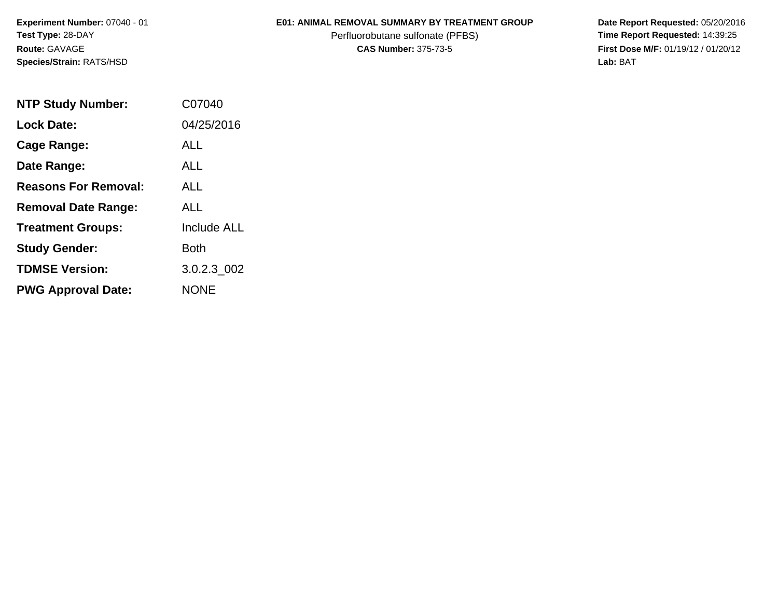**Experiment Number:** 07040 - 01**Test Type:** 28-DAY**Route:** GAVAGE**Species/Strain:** RATS/HSD

## **E01: ANIMAL REMOVAL SUMMARY BY TREATMENT GROUP**

Perfluorobutane sulfonate (PFBS)<br>**CAS Number:** 375-73-5

 **Date Report Requested:** 05/20/2016 **First Dose M/F:** 01/19/12 / 01/20/12<br>Lab: BAT **Lab:** BAT

| <b>NTP Study Number:</b>    | C07040             |
|-----------------------------|--------------------|
| <b>Lock Date:</b>           | 04/25/2016         |
| <b>Cage Range:</b>          | ALL                |
| Date Range:                 | ALL.               |
| <b>Reasons For Removal:</b> | ALL.               |
| <b>Removal Date Range:</b>  | ALL                |
| <b>Treatment Groups:</b>    | <b>Include ALL</b> |
| <b>Study Gender:</b>        | Both               |
| <b>TDMSE Version:</b>       | 3.0.2.3 002        |
| <b>PWG Approval Date:</b>   | <b>NONE</b>        |